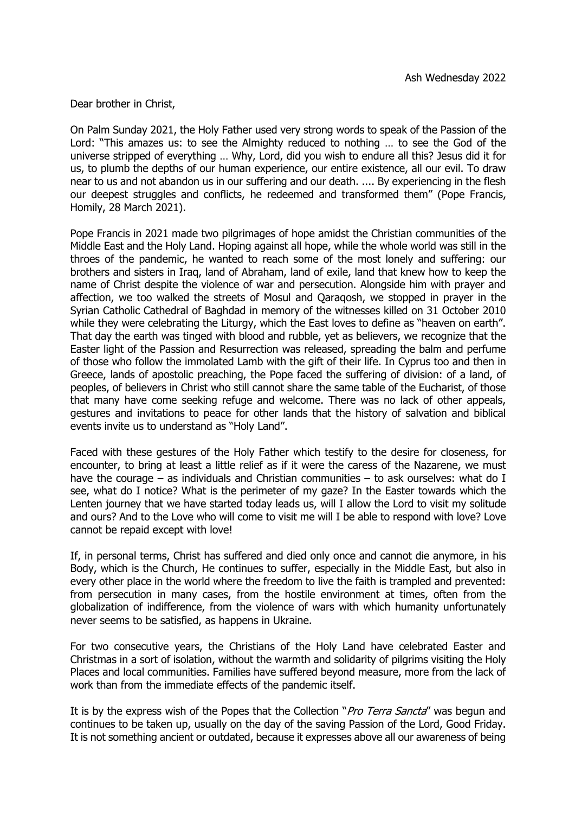Dear brother in Christ,

On Palm Sunday 2021, the Holy Father used very strong words to speak of the Passion of the Lord: "This amazes us: to see the Almighty reduced to nothing … to see the God of the universe stripped of everything … Why, Lord, did you wish to endure all this? Jesus did it for us, to plumb the depths of our human experience, our entire existence, all our evil. To draw near to us and not abandon us in our suffering and our death. .... By experiencing in the flesh our deepest struggles and conflicts, he redeemed and transformed them" (Pope Francis, Homily, 28 March 2021).

Pope Francis in 2021 made two pilgrimages of hope amidst the Christian communities of the Middle East and the Holy Land. Hoping against all hope, while the whole world was still in the throes of the pandemic, he wanted to reach some of the most lonely and suffering: our brothers and sisters in Iraq, land of Abraham, land of exile, land that knew how to keep the name of Christ despite the violence of war and persecution. Alongside him with prayer and affection, we too walked the streets of Mosul and Qaraqosh, we stopped in prayer in the Syrian Catholic Cathedral of Baghdad in memory of the witnesses killed on 31 October 2010 while they were celebrating the Liturgy, which the East loves to define as "heaven on earth". That day the earth was tinged with blood and rubble, yet as believers, we recognize that the Easter light of the Passion and Resurrection was released, spreading the balm and perfume of those who follow the immolated Lamb with the gift of their life. In Cyprus too and then in Greece, lands of apostolic preaching, the Pope faced the suffering of division: of a land, of peoples, of believers in Christ who still cannot share the same table of the Eucharist, of those that many have come seeking refuge and welcome. There was no lack of other appeals, gestures and invitations to peace for other lands that the history of salvation and biblical events invite us to understand as "Holy Land".

Faced with these gestures of the Holy Father which testify to the desire for closeness, for encounter, to bring at least a little relief as if it were the caress of the Nazarene, we must have the courage – as individuals and Christian communities – to ask ourselves: what do I see, what do I notice? What is the perimeter of my gaze? In the Easter towards which the Lenten journey that we have started today leads us, will I allow the Lord to visit my solitude and ours? And to the Love who will come to visit me will I be able to respond with love? Love cannot be repaid except with love!

If, in personal terms, Christ has suffered and died only once and cannot die anymore, in his Body, which is the Church, He continues to suffer, especially in the Middle East, but also in every other place in the world where the freedom to live the faith is trampled and prevented: from persecution in many cases, from the hostile environment at times, often from the globalization of indifference, from the violence of wars with which humanity unfortunately never seems to be satisfied, as happens in Ukraine.

For two consecutive years, the Christians of the Holy Land have celebrated Easter and Christmas in a sort of isolation, without the warmth and solidarity of pilgrims visiting the Holy Places and local communities. Families have suffered beyond measure, more from the lack of work than from the immediate effects of the pandemic itself.

It is by the express wish of the Popes that the Collection "*Pro Terra Sancta*" was begun and continues to be taken up, usually on the day of the saving Passion of the Lord, Good Friday. It is not something ancient or outdated, because it expresses above all our awareness of being